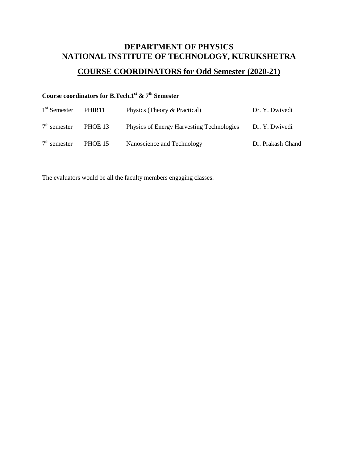## **DEPARTMENT OF PHYSICS NATIONAL INSTITUTE OF TECHNOLOGY, KURUKSHETRA**

# **COURSE COORDINATORS for Odd Semester (2020-21)**

# **Course coordinators for B.Tech.1st & 7th Semester**

| $1st$ Semester | PHIR <sub>11</sub> | Physics (Theory & Practical)              | Dr. Y. Dwivedi    |
|----------------|--------------------|-------------------------------------------|-------------------|
| $7th$ semester | PHOE 13            | Physics of Energy Harvesting Technologies | Dr. Y. Dwivedi    |
| $7th$ semester | PHOE 15            | Nanoscience and Technology                | Dr. Prakash Chand |

The evaluators would be all the faculty members engaging classes.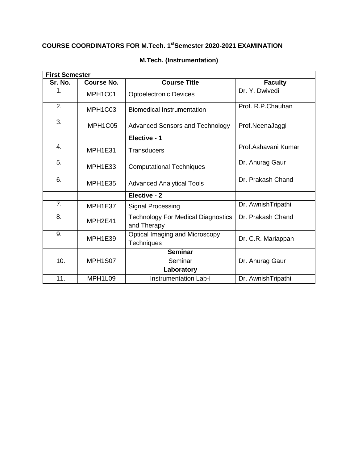### **COURSE COORDINATORS FOR M.Tech. 1stSemester 2020-2021 EXAMINATION**

| <b>First Semester</b> |                   |                                                          |                     |  |  |
|-----------------------|-------------------|----------------------------------------------------------|---------------------|--|--|
| Sr. No.               | <b>Course No.</b> | <b>Course Title</b>                                      | <b>Faculty</b>      |  |  |
| 1.                    | MPH1C01           | <b>Optoelectronic Devices</b>                            | Dr. Y. Dwivedi      |  |  |
| 2.                    | MPH1C03           | <b>Biomedical Instrumentation</b>                        | Prof. R.P.Chauhan   |  |  |
| 3.                    | MPH1C05           | Advanced Sensors and Technology                          | Prof.NeenaJaggi     |  |  |
|                       |                   | Elective - 1                                             |                     |  |  |
| 4.                    | MPH1E31           | <b>Transducers</b>                                       | Prof.Ashavani Kumar |  |  |
| 5.                    | MPH1E33           | <b>Computational Techniques</b>                          | Dr. Anurag Gaur     |  |  |
| 6.                    | MPH1E35           | <b>Advanced Analytical Tools</b>                         | Dr. Prakash Chand   |  |  |
|                       |                   | Elective - 2                                             |                     |  |  |
| 7 <sub>1</sub>        | MPH1E37           | <b>Signal Processing</b>                                 | Dr. AwnishTripathi  |  |  |
| 8.                    | MPH2E41           | <b>Technology For Medical Diagnostics</b><br>and Therapy | Dr. Prakash Chand   |  |  |
| 9.                    | MPH1E39           | Optical Imaging and Microscopy<br><b>Techniques</b>      | Dr. C.R. Mariappan  |  |  |
|                       |                   | <b>Seminar</b>                                           |                     |  |  |
| 10.                   | MPH1S07           | Seminar                                                  | Dr. Anurag Gaur     |  |  |
|                       |                   | Laboratory                                               |                     |  |  |
| 11.                   | MPH1L09           | <b>Instrumentation Lab-I</b>                             | Dr. AwnishTripathi  |  |  |

### **M.Tech. (Instrumentation)**